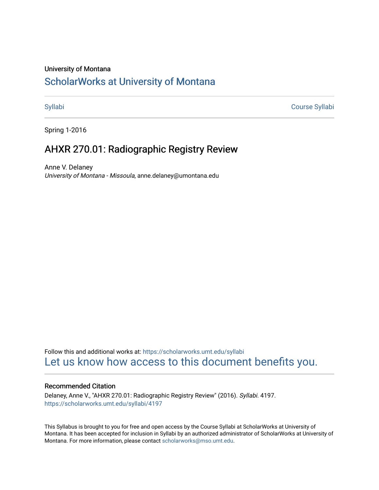#### University of Montana

# [ScholarWorks at University of Montana](https://scholarworks.umt.edu/)

[Syllabi](https://scholarworks.umt.edu/syllabi) [Course Syllabi](https://scholarworks.umt.edu/course_syllabi) 

Spring 1-2016

# AHXR 270.01: Radiographic Registry Review

Anne V. Delaney University of Montana - Missoula, anne.delaney@umontana.edu

Follow this and additional works at: [https://scholarworks.umt.edu/syllabi](https://scholarworks.umt.edu/syllabi?utm_source=scholarworks.umt.edu%2Fsyllabi%2F4197&utm_medium=PDF&utm_campaign=PDFCoverPages)  [Let us know how access to this document benefits you.](https://goo.gl/forms/s2rGfXOLzz71qgsB2) 

#### Recommended Citation

Delaney, Anne V., "AHXR 270.01: Radiographic Registry Review" (2016). Syllabi. 4197. [https://scholarworks.umt.edu/syllabi/4197](https://scholarworks.umt.edu/syllabi/4197?utm_source=scholarworks.umt.edu%2Fsyllabi%2F4197&utm_medium=PDF&utm_campaign=PDFCoverPages)

This Syllabus is brought to you for free and open access by the Course Syllabi at ScholarWorks at University of Montana. It has been accepted for inclusion in Syllabi by an authorized administrator of ScholarWorks at University of Montana. For more information, please contact [scholarworks@mso.umt.edu.](mailto:scholarworks@mso.umt.edu)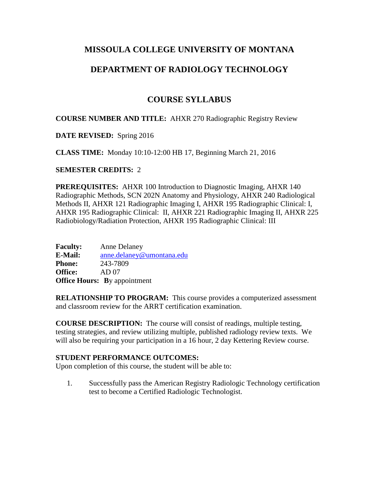## **MISSOULA COLLEGE UNIVERSITY OF MONTANA**

## **DEPARTMENT OF RADIOLOGY TECHNOLOGY**

# **COURSE SYLLABUS**

## **COURSE NUMBER AND TITLE:** AHXR 270 Radiographic Registry Review

**DATE REVISED:** Spring 2016

**CLASS TIME:** Monday 10:10-12:00 HB 17, Beginning March 21, 2016

## **SEMESTER CREDITS:** 2

**PREREQUISITES:** AHXR 100 Introduction to Diagnostic Imaging, AHXR 140 Radiographic Methods, SCN 202N Anatomy and Physiology, AHXR 240 Radiological Methods II, AHXR 121 Radiographic Imaging I, AHXR 195 Radiographic Clinical: I, AHXR 195 Radiographic Clinical: II, AHXR 221 Radiographic Imaging II, AHXR 225 Radiobiology/Radiation Protection, AHXR 195 Radiographic Clinical: III

**Faculty:** Anne Delaney **E-Mail:** [anne.delaney@umontana.edu](mailto:anne.delaney@umontana.edu) **Phone:** 243-7809 **Office:** AD 07 **Office Hours:** By appointment

**RELATIONSHIP TO PROGRAM:** This course provides a computerized assessment and classroom review for the ARRT certification examination.

**COURSE DESCRIPTION:** The course will consist of readings, multiple testing, testing strategies, and review utilizing multiple, published radiology review texts. We will also be requiring your participation in a 16 hour, 2 day Kettering Review course.

#### **STUDENT PERFORMANCE OUTCOMES:**

Upon completion of this course, the student will be able to:

1. Successfully pass the American Registry Radiologic Technology certification test to become a Certified Radiologic Technologist.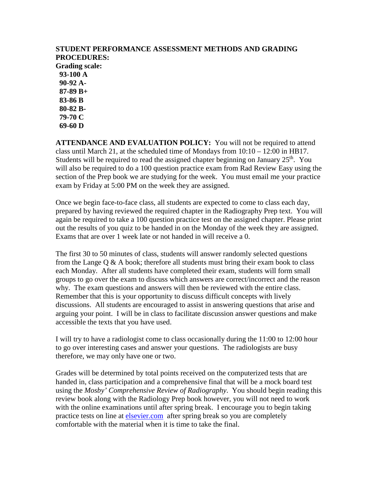#### **STUDENT PERFORMANCE ASSESSMENT METHODS AND GRADING PROCEDURES: Grading scale: 93-100 A 90-92 A- 87-89 B+ 83-86 B 80-82 B- 79-70 C**

 **69-60 D** 

**ATTENDANCE AND EVALUATION POLICY:** You will not be required to attend class until March 21, at the scheduled time of Mondays from  $10:10 - 12:00$  in HB17. Students will be required to read the assigned chapter beginning on January  $25<sup>th</sup>$ . You will also be required to do a 100 question practice exam from Rad Review Easy using the section of the Prep book we are studying for the week. You must email me your practice exam by Friday at 5:00 PM on the week they are assigned.

Once we begin face-to-face class, all students are expected to come to class each day, prepared by having reviewed the required chapter in the Radiography Prep text. You will again be required to take a 100 question practice test on the assigned chapter. Please print out the results of you quiz to be handed in on the Monday of the week they are assigned. Exams that are over 1 week late or not handed in will receive a 0.

The first 30 to 50 minutes of class, students will answer randomly selected questions from the Lange  $Q \& A$  book; therefore all students must bring their exam book to class each Monday. After all students have completed their exam, students will form small groups to go over the exam to discuss which answers are correct/incorrect and the reason why. The exam questions and answers will then be reviewed with the entire class. Remember that this is your opportunity to discuss difficult concepts with lively discussions. All students are encouraged to assist in answering questions that arise and arguing your point. I will be in class to facilitate discussion answer questions and make accessible the texts that you have used.

I will try to have a radiologist come to class occasionally during the 11:00 to 12:00 hour to go over interesting cases and answer your questions. The radiologists are busy therefore, we may only have one or two.

Grades will be determined by total points received on the computerized tests that are handed in, class participation and a comprehensive final that will be a mock board test using the *Mosby' Comprehensive Review of Radiography*. You should begin reading this review book along with the Radiology Prep book however, you will not need to work with the online examinations until after spring break. I encourage you to begin taking practice tests on line at [elsevier.com](http://thepoint.lww.com/) after spring break so you are completely comfortable with the material when it is time to take the final.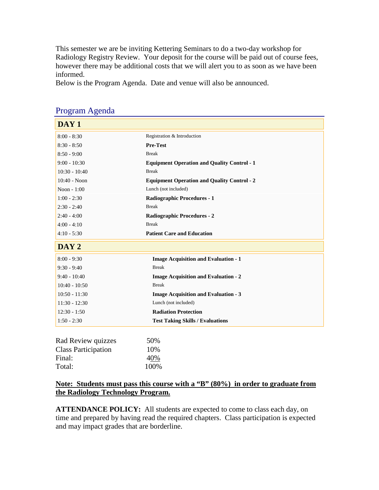This semester we are be inviting Kettering Seminars to do a two-day workshop for Radiology Registry Review. Your deposit for the course will be paid out of course fees, however there may be additional costs that we will alert you to as soon as we have been informed.

Below is the Program Agenda. Date and venue will also be announced.

| DAY <sub>1</sub>           |                                                    |  |  |
|----------------------------|----------------------------------------------------|--|--|
| $8:00 - 8:30$              | Registration & Introduction                        |  |  |
| $8:30 - 8:50$              | <b>Pre-Test</b>                                    |  |  |
| $8:50 - 9:00$              | <b>Break</b>                                       |  |  |
| $9:00 - 10:30$             | <b>Equipment Operation and Quality Control - 1</b> |  |  |
| $10:30 - 10:40$            | <b>Break</b>                                       |  |  |
| 10:40 - Noon               | <b>Equipment Operation and Quality Control - 2</b> |  |  |
| Noon - 1:00                | Lunch (not included)                               |  |  |
| $1:00 - 2:30$              | <b>Radiographic Procedures - 1</b>                 |  |  |
| $2:30 - 2:40$              | <b>Break</b>                                       |  |  |
| $2:40 - 4:00$              | <b>Radiographic Procedures - 2</b>                 |  |  |
| $4:00 - 4:10$              | <b>Break</b>                                       |  |  |
| $4:10 - 5:30$              | <b>Patient Care and Education</b>                  |  |  |
| DAY 2                      |                                                    |  |  |
| $8:00 - 9:30$              | <b>Image Acquisition and Evaluation - 1</b>        |  |  |
| $9:30 - 9:40$              | <b>Break</b>                                       |  |  |
| $9:40 - 10:40$             | <b>Image Acquisition and Evaluation - 2</b>        |  |  |
| $10:40 - 10:50$            | <b>Break</b>                                       |  |  |
| $10:50 - 11:30$            | <b>Image Acquisition and Evaluation - 3</b>        |  |  |
| $11:30 - 12:30$            | Lunch (not included)                               |  |  |
| $12:30 - 1:50$             | <b>Radiation Protection</b>                        |  |  |
| $1:50 - 2:30$              | <b>Test Taking Skills / Evaluations</b>            |  |  |
| Rad Review quizzes         | 50%                                                |  |  |
| <b>Class Participation</b> | 10%                                                |  |  |
| Final:                     | 40%                                                |  |  |

## Program Agenda

Total:  $100\%$ 

## **Note: Students must pass this course with a "B" (80%) in order to graduate from the Radiology Technology Program.**

**ATTENDANCE POLICY:** All students are expected to come to class each day, on time and prepared by having read the required chapters. Class participation is expected and may impact grades that are borderline.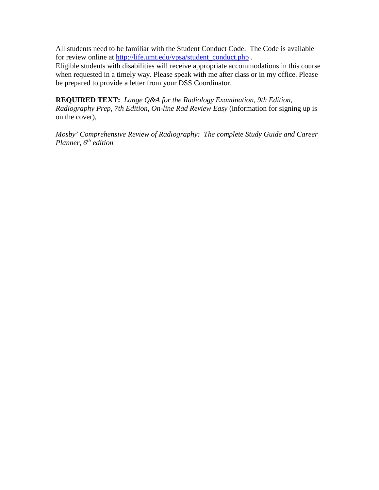All students need to be familiar with the Student Conduct Code. The Code is available for review online at [http://life.umt.edu/vpsa/student\\_conduct.php](http://life.umt.edu/vpsa/student_conduct.php).

Eligible students with disabilities will receive appropriate accommodations in this course when requested in a timely way. Please speak with me after class or in my office. Please be prepared to provide a letter from your DSS Coordinator.

**REQUIRED TEXT:** *Lange Q&A for the Radiology Examination, 9th Edition, Radiography Prep, 7th Edition, On-line Rad Review Easy* (information for signing up is on the cover),

*Mosby' Comprehensive Review of Radiography: The complete Study Guide and Career Planner, 6th edition*